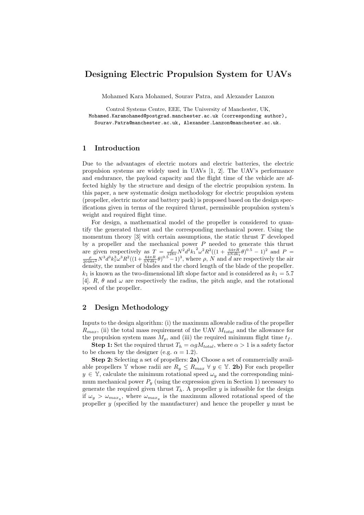## Designing Electric Propulsion System for UAVs

Mohamed Kara Mohamed, Sourav Patra, and Alexander Lanzon

Control Systems Centre, EEE, The University of Manchester, UK, Mohamed.Karamohamed@postgrad.manchester.ac.uk (corresponding author), Sourav.Patra@manchester.ac.uk, Alexander.Lanzon@manchester.ac.uk.

## 1 Introduction

Due to the advantages of electric motors and electric batteries, the electric propulsion systems are widely used in UAVs [1, 2]. The UAV's performance and endurance, the payload capacity and the flight time of the vehicle are affected highly by the structure and design of the electric propulsion system. In this paper, a new systematic design methodology for electric propulsion system (propeller, electric motor and battery pack) is proposed based on the design specifications given in terms of the required thrust, permissible propulsion system's weight and required flight time.

For design, a mathematical model of the propeller is considered to quantify the generated thrust and the corresponding mechanical power. Using the momentum theory  $[3]$  with certain assumptions, the static thrust T developed by a propeller and the mechanical power  $P$  needed to generate this thrust are given respectively as  $T = \frac{\rho}{128\pi} N^2 d^2 k_1^2 \omega^2 R^2 ((1 + \frac{64\pi R}{3Nd k_1} \theta)^{0.5} - 1)^2$  and  $P = \frac{\rho}{2048\pi^2} N^3 d^3 k_1^3 \omega^3 R^2 ((1 + \frac{64\pi R}{3Nd k_1} \theta)^{0.5} - 1)^3$ , where  $\rho$ , N and d are respectively the air density, the number of blades and the chord length of the blade of the propeller.  $k_1$  is known as the two-dimensional lift slope factor and is considered as  $k_1 = 5.7$ [4].  $R$ ,  $\theta$  and  $\omega$  are respectively the radius, the pitch angle, and the rotational speed of the propeller.

## 2 Design Methodology

Inputs to the design algorithm: (i) the maximum allowable radius of the propeller  $R_{max}$ , (ii) the total mass requirement of the UAV  $M_{total}$  and the allowance for the propulsion system mass  $M_p$ , and (iii) the required minimum flight time  $t_f$ .

**Step 1:** Set the required thrust  $T_h = \alpha g M_{total}$ , where  $\alpha > 1$  is a safety factor to be chosen by the designer (e.g.  $\alpha = 1.2$ ).

Step 2: Selecting a set of propellers: 2a) Choose a set of commercially available propellers Y whose radii are  $R_y \le R_{max} \ \forall \ y \in \mathbb{Y}$ . 2b) For each propeller  $y \in \mathbb{Y}$ , calculate the minimum rotational speed  $\omega_y$  and the corresponding minimum mechanical power  $P_y$  (using the expression given in Section 1) necessary to generate the required given thrust  $T<sub>h</sub>$ . A propeller y is infeasible for the design if  $\omega_y > \omega_{max_y}$ , where  $\omega_{max_y}$  is the maximum allowed rotational speed of the propeller  $y$  (specified by the manufacturer) and hence the propeller  $y$  must be